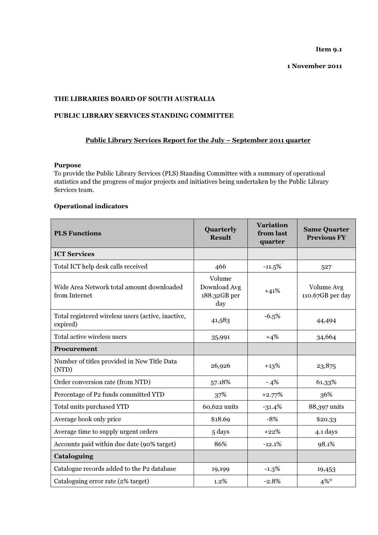Item 9.1

1 November 2011

# THE LIBRARIES BOARD OF SOUTH AUSTRALIA

# PUBLIC LIBRARY SERVICES STANDING COMMITTEE

# Public Library Services Report for the July – September 2011 quarter

## Purpose

To provide the Public Library Services (PLS) Standing Committee with a summary of operational statistics and the progress of major projects and initiatives being undertaken by the Public Library Services team.

# Operational indicators

| <b>PLS Functions</b>                                           | Quarterly<br><b>Result</b>                    | <b>Variation</b><br>from last<br>quarter | <b>Same Quarter</b><br><b>Previous FY</b> |
|----------------------------------------------------------------|-----------------------------------------------|------------------------------------------|-------------------------------------------|
| <b>ICT Services</b>                                            |                                               |                                          |                                           |
| Total ICT help desk calls received                             | 466                                           | $-11.5%$                                 | 527                                       |
| Wide Area Network total amount downloaded<br>from Internet     | Volume<br>Download Avg<br>188.32GB per<br>day | $+41%$                                   | Volume Avg<br>110.67GB per day            |
| Total registered wireless users (active, inactive,<br>expired) | 41,583                                        | $-6.5%$                                  | 44,494                                    |
| Total active wireless users                                    | 35,991                                        | $+4%$                                    | 34,664                                    |
| Procurement                                                    |                                               |                                          |                                           |
| Number of titles provided in New Title Data<br>(NTD)           | 26,926                                        | $+13%$                                   | 23,875                                    |
| Order conversion rate (from NTD)                               | 57.18%                                        | $-4%$                                    | 61.33%                                    |
| Percentage of P2 funds committed YTD                           | 37%                                           | $+2.77%$                                 | 36%                                       |
| Total units purchased YTD                                      | 60,622 units                                  | $-31.4%$                                 | 88,397 units                              |
| Average book only price                                        | \$18.69                                       | $-8%$                                    | \$20.33                                   |
| Average time to supply urgent orders                           | 5 days                                        | $+22%$                                   | 4.1 days                                  |
| Accounts paid within due date (90% target)                     | 86%                                           | $-12.1%$                                 | 98.1%                                     |
| Cataloguing                                                    |                                               |                                          |                                           |
| Catalogue records added to the P2 database                     | 19,199                                        | $-1.3%$                                  | 19,453                                    |
| Cataloguing error rate (2% target)                             | 1.2%                                          | $-2.8%$                                  | $4\%$ *                                   |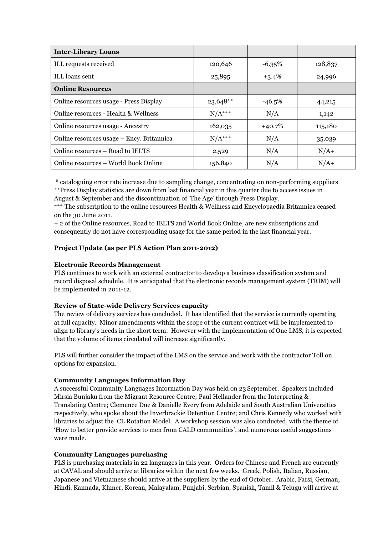| <b>Inter-Library Loans</b>                |            |          |         |
|-------------------------------------------|------------|----------|---------|
| ILL requests received                     | 120,646    | $-6.35%$ | 128,837 |
| ILL loans sent                            | 25,895     | $+3.4%$  | 24,996  |
| <b>Online Resources</b>                   |            |          |         |
| Online resources usage - Press Display    | $23,648**$ | $-46.5%$ | 44,215  |
| Online resources - Health & Wellness      | $N/A***$   | N/A      | 1,142   |
| Online resources usage - Ancestry         | 162,035    | $+40.7%$ | 115,180 |
| Online resources usage – Ency. Britannica | $N/A***$   | N/A      | 35,039  |
| Online resources - Road to IELTS          | 2,529      | N/A      | $N/A+$  |
| Online resources – World Book Online      | 156,840    | N/A      | $N/A+$  |

 \* cataloguing error rate increase due to sampling change, concentrating on non-performing suppliers \*\*Press Display statistics are down from last financial year in this quarter due to access issues in August & September and the discontinuation of 'The Age' through Press Display.

\*\*\* The subscription to the online resources Health & Wellness and Encyclopaedia Britannica ceased on the 30 June 2011.

+ 2 of the Online resources, Road to IELTS and World Book Online, are new subscriptions and consequently do not have corresponding usage for the same period in the last financial year.

## Project Update (as per PLS Action Plan 2011-2012)

#### Electronic Records Management

PLS continues to work with an external contractor to develop a business classification system and record disposal schedule. It is anticipated that the electronic records management system (TRIM) will be implemented in 2011-12.

## Review of State-wide Delivery Services capacity

The review of delivery services has concluded. It has identified that the service is currently operating at full capacity. Minor amendments within the scope of the current contract will be implemented to align to library's needs in the short term. However with the implementation of One LMS, it is expected that the volume of items circulated will increase significantly.

PLS will further consider the impact of the LMS on the service and work with the contractor Toll on options for expansion.

#### Community Languages Information Day

A successful Community Languages Information Day was held on 23 September. Speakers included Mirsia Bunjaku from the Migrant Resource Centre; Paul Hellander from the Interpreting & Translating Centre; Clemence Due & Danielle Every from Adelaide and South Australian Universities respectively, who spoke about the Inverbrackie Detention Centre; and Chris Kennedy who worked with libraries to adjust the CL Rotation Model. A workshop session was also conducted, with the theme of 'How to better provide services to men from CALD communities', and numerous useful suggestions were made.

#### Community Languages purchasing

PLS is purchasing materials in 22 languages in this year. Orders for Chinese and French are currently at CAVAL and should arrive at libraries within the next few weeks. Greek, Polish, Italian, Russian, Japanese and Vietnamese should arrive at the suppliers by the end of October. Arabic, Farsi, German, Hindi, Kannada, Khmer, Korean, Malayalam, Punjabi, Serbian, Spanish, Tamil & Telugu will arrive at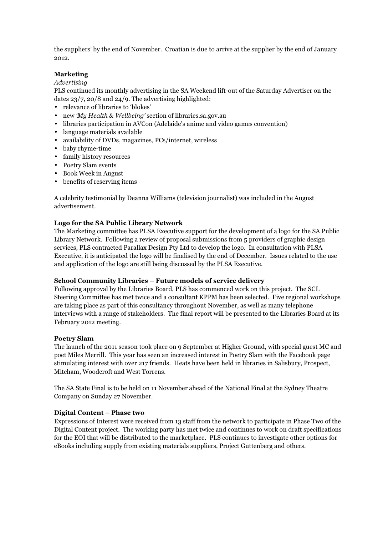the suppliers' by the end of November. Croatian is due to arrive at the supplier by the end of January 2012.

# Marketing

#### Advertising

PLS continued its monthly advertising in the SA Weekend lift-out of the Saturday Advertiser on the dates 23/7, 20/8 and 24/9. The advertising highlighted:

- relevance of libraries to 'blokes'
- new 'My Health & Wellbeing' section of libraries.sa.gov.au
- libraries participation in AVCon (Adelaide's anime and video games convention)
- language materials available
- availability of DVDs, magazines, PCs/internet, wireless
- baby rhyme-time
- family history resources
- Poetry Slam events
- Book Week in August
- benefits of reserving items

A celebrity testimonial by Deanna Williams (television journalist) was included in the August advertisement.

## Logo for the SA Public Library Network

The Marketing committee has PLSA Executive support for the development of a logo for the SA Public Library Network. Following a review of proposal submissions from 5 providers of graphic design services, PLS contracted Parallax Design Pty Ltd to develop the logo. In consultation with PLSA Executive, it is anticipated the logo will be finalised by the end of December. Issues related to the use and application of the logo are still being discussed by the PLSA Executive.

## School Community Libraries – Future models of service delivery

Following approval by the Libraries Board, PLS has commenced work on this project. The SCL Steering Committee has met twice and a consultant KPPM has been selected. Five regional workshops are taking place as part of this consultancy throughout November, as well as many telephone interviews with a range of stakeholders. The final report will be presented to the Libraries Board at its February 2012 meeting.

## Poetry Slam

The launch of the 2011 season took place on 9 September at Higher Ground, with special guest MC and poet Miles Merrill. This year has seen an increased interest in Poetry Slam with the Facebook page stimulating interest with over 217 friends. Heats have been held in libraries in Salisbury, Prospect, Mitcham, Woodcroft and West Torrens.

The SA State Final is to be held on 11 November ahead of the National Final at the Sydney Theatre Company on Sunday 27 November.

## Digital Content – Phase two

Expressions of Interest were received from 13 staff from the network to participate in Phase Two of the Digital Content project. The working party has met twice and continues to work on draft specifications for the EOI that will be distributed to the marketplace. PLS continues to investigate other options for eBooks including supply from existing materials suppliers, Project Guttenberg and others.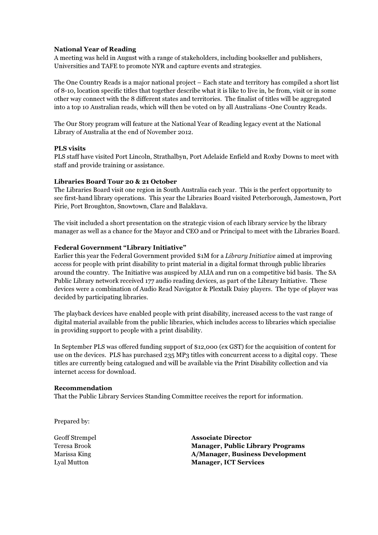## National Year of Reading

A meeting was held in August with a range of stakeholders, including bookseller and publishers, Universities and TAFE to promote NYR and capture events and strategies.

The One Country Reads is a major national project – Each state and territory has compiled a short list of 8-10, location specific titles that together describe what it is like to live in, be from, visit or in some other way connect with the 8 different states and territories. The finalist of titles will be aggregated into a top 10 Australian reads, which will then be voted on by all Australians -One Country Reads.

The Our Story program will feature at the National Year of Reading legacy event at the National Library of Australia at the end of November 2012.

## PLS visits

PLS staff have visited Port Lincoln, Strathalbyn, Port Adelaide Enfield and Roxby Downs to meet with staff and provide training or assistance.

#### Libraries Board Tour 20 & 21 October

The Libraries Board visit one region in South Australia each year. This is the perfect opportunity to see first-hand library operations. This year the Libraries Board visited Peterborough, Jamestown, Port Pirie, Port Broughton, Snowtown, Clare and Balaklava.

The visit included a short presentation on the strategic vision of each library service by the library manager as well as a chance for the Mayor and CEO and or Principal to meet with the Libraries Board.

#### Federal Government "Library Initiative"

Earlier this year the Federal Government provided \$1M for a Library Initiative aimed at improving access for people with print disability to print material in a digital format through public libraries around the country. The Initiative was auspiced by ALIA and run on a competitive bid basis. The SA Public Library network received 177 audio reading devices, as part of the Library Initiative. These devices were a combination of Audio Read Navigator & Plextalk Daisy players. The type of player was decided by participating libraries.

The playback devices have enabled people with print disability, increased access to the vast range of digital material available from the public libraries, which includes access to libraries which specialise in providing support to people with a print disability.

In September PLS was offered funding support of \$12,000 (ex GST) for the acquisition of content for use on the devices. PLS has purchased 235 MP3 titles with concurrent access to a digital copy. These titles are currently being catalogued and will be available via the Print Disability collection and via internet access for download.

#### Recommendation

That the Public Library Services Standing Committee receives the report for information.

Prepared by:

Geoff Strempel Associate Director Teresa Brook Manager, Public Library Programs Marissa King **A/Manager, Business Development** Lyal Mutton Manager, ICT Services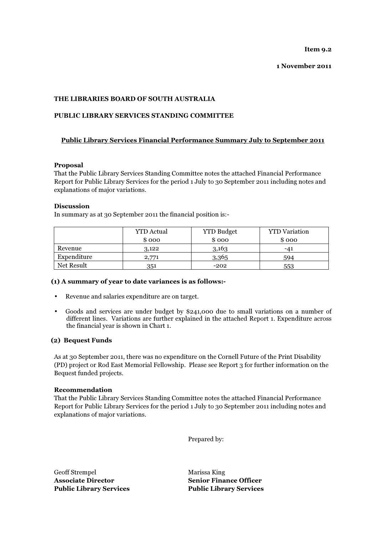Item 9.2

1 November 2011

## THE LIBRARIES BOARD OF SOUTH AUSTRALIA

### PUBLIC LIBRARY SERVICES STANDING COMMITTEE

## Public Library Services Financial Performance Summary July to September 2011

#### Proposal

That the Public Library Services Standing Committee notes the attached Financial Performance Report for Public Library Services for the period 1 July to 30 September 2011 including notes and explanations of major variations.

#### Discussion

In summary as at 30 September 2011 the financial position is:-

|             | <b>YTD</b> Actual | <b>YTD Budget</b> | <b>YTD</b> Variation |
|-------------|-------------------|-------------------|----------------------|
|             | \$000             | \$000             | \$ 000               |
| Revenue     | 3,122             | 3,163             | -41                  |
| Expenditure | 2,771             | 3,365             | 594                  |
| Net Result  | 351               | $-202$            | 553                  |

#### (1) A summary of year to date variances is as follows:-

- Revenue and salaries expenditure are on target.
- Goods and services are under budget by \$241,000 due to small variations on a number of different lines. Variations are further explained in the attached Report 1. Expenditure across the financial year is shown in Chart 1.

#### (2) Bequest Funds

As at 30 September 2011, there was no expenditure on the Cornell Future of the Print Disability (PD) project or Rod East Memorial Fellowship. Please see Report 3 for further information on the Bequest funded projects.

#### Recommendation

That the Public Library Services Standing Committee notes the attached Financial Performance Report for Public Library Services for the period 1 July to 30 September 2011 including notes and explanations of major variations.

Prepared by:

Geoff Strempel Marissa King Associate Director Senior Finance Officer Public Library Services Public Library Services